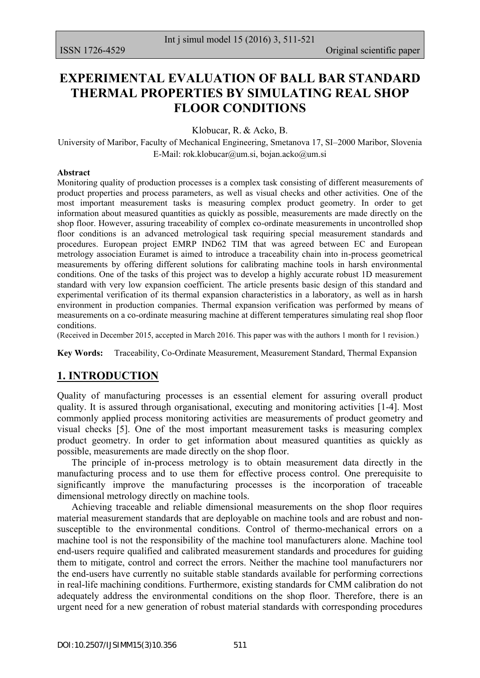# **EXPERIMENTAL EVALUATION OF BALL BAR STANDARD THERMAL PROPERTIES BY SIMULATING REAL SHOP FLOOR CONDITIONS**

Klobucar, R. & Acko, B.

University of Maribor, Faculty of Mechanical Engineering, Smetanova 17, SI–2000 Maribor, Slovenia E-Mail: [rok.klobucar@um.si,](mailto:rok.klobucar@um.si) [bojan.acko@um.si](mailto:bojan.acko@um.si)

#### **Abstract**

Monitoring quality of production processes is a complex task consisting of different measurements of product properties and process parameters, as well as visual checks and other activities. One of the most important measurement tasks is measuring complex product geometry. In order to get information about measured quantities as quickly as possible, measurements are made directly on the shop floor. However, assuring traceability of complex co-ordinate measurements in uncontrolled shop floor conditions is an advanced metrological task requiring special measurement standards and procedures. European project EMRP IND62 TIM that was agreed between EC and European metrology association Euramet is aimed to introduce a traceability chain into in-process geometrical measurements by offering different solutions for calibrating machine tools in harsh environmental conditions. One of the tasks of this project was to develop a highly accurate robust 1D measurement standard with very low expansion coefficient. The article presents basic design of this standard and experimental verification of its thermal expansion characteristics in a laboratory, as well as in harsh environment in production companies. Thermal expansion verification was performed by means of measurements on a co-ordinate measuring machine at different temperatures simulating real shop floor conditions.

(Received in December 2015, accepted in March 2016. This paper was with the authors 1 month for 1 revision.)

**Key Words:** Traceability, Co-Ordinate Measurement, Measurement Standard, Thermal Expansion

## **1. INTRODUCTION**

Quality of manufacturing processes is an essential element for assuring overall product quality. It is assured through organisational, executing and monitoring activities [1-4]. Most commonly applied process monitoring activities are measurements of product geometry and visual checks [5]. One of the most important measurement tasks is measuring complex product geometry. In order to get information about measured quantities as quickly as possible, measurements are made directly on the shop floor.

 The principle of in-process metrology is to obtain measurement data directly in the manufacturing process and to use them for effective process control. One prerequisite to significantly improve the manufacturing processes is the incorporation of traceable dimensional metrology directly on machine tools.

 Achieving traceable and reliable dimensional measurements on the shop floor requires material measurement standards that are deployable on machine tools and are robust and nonsusceptible to the environmental conditions. Control of thermo-mechanical errors on a machine tool is not the responsibility of the machine tool manufacturers alone. Machine tool end-users require qualified and calibrated measurement standards and procedures for guiding them to mitigate, control and correct the errors. Neither the machine tool manufacturers nor the end-users have currently no suitable stable standards available for performing corrections in real-life machining conditions. Furthermore, existing standards for CMM calibration do not adequately address the environmental conditions on the shop floor. Therefore, there is an urgent need for a new generation of robust material standards with corresponding procedures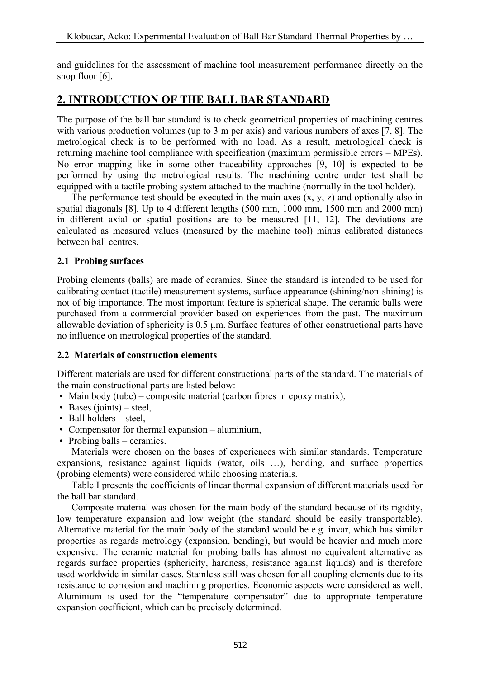and guidelines for the assessment of machine tool measurement performance directly on the shop floor [6].

# **2. INTRODUCTION OF THE BALL BAR STANDARD**

The purpose of the ball bar standard is to check geometrical properties of machining centres with various production volumes (up to 3 m per axis) and various numbers of axes [7, 8]. The metrological check is to be performed with no load. As a result, metrological check is returning machine tool compliance with specification (maximum permissible errors – MPEs). No error mapping like in some other traceability approaches [9, 10] is expected to be performed by using the metrological results. The machining centre under test shall be equipped with a tactile probing system attached to the machine (normally in the tool holder).

 The performance test should be executed in the main axes (x, y, z) and optionally also in spatial diagonals [8]. Up to 4 different lengths (500 mm, 1000 mm, 1500 mm and 2000 mm) in different axial or spatial positions are to be measured [11, 12]. The deviations are calculated as measured values (measured by the machine tool) minus calibrated distances between ball centres.

## **2.1 Probing surfaces**

Probing elements (balls) are made of ceramics. Since the standard is intended to be used for calibrating contact (tactile) measurement systems, surface appearance (shining/non-shining) is not of big importance. The most important feature is spherical shape. The ceramic balls were purchased from a commercial provider based on experiences from the past. The maximum allowable deviation of sphericity is 0.5 µm. Surface features of other constructional parts have no influence on metrological properties of the standard.

## **2.2 Materials of construction elements**

Different materials are used for different constructional parts of the standard. The materials of the main constructional parts are listed below:

- Main body (tube) composite material (carbon fibres in epoxy matrix),
- Bases (joints) steel,
- Ball holders steel,
- Compensator for thermal expansion aluminium,
- Probing balls ceramics.

 Materials were chosen on the bases of experiences with similar standards. Temperature expansions, resistance against liquids (water, oils …), bending, and surface properties (probing elements) were considered while choosing materials.

 Table I presents the coefficients of linear thermal expansion of different materials used for the ball bar standard.

 Composite material was chosen for the main body of the standard because of its rigidity, low temperature expansion and low weight (the standard should be easily transportable). Alternative material for the main body of the standard would be e.g. invar, which has similar properties as regards metrology (expansion, bending), but would be heavier and much more expensive. The ceramic material for probing balls has almost no equivalent alternative as regards surface properties (sphericity, hardness, resistance against liquids) and is therefore used worldwide in similar cases. Stainless still was chosen for all coupling elements due to its resistance to corrosion and machining properties. Economic aspects were considered as well. Aluminium is used for the "temperature compensator" due to appropriate temperature expansion coefficient, which can be precisely determined.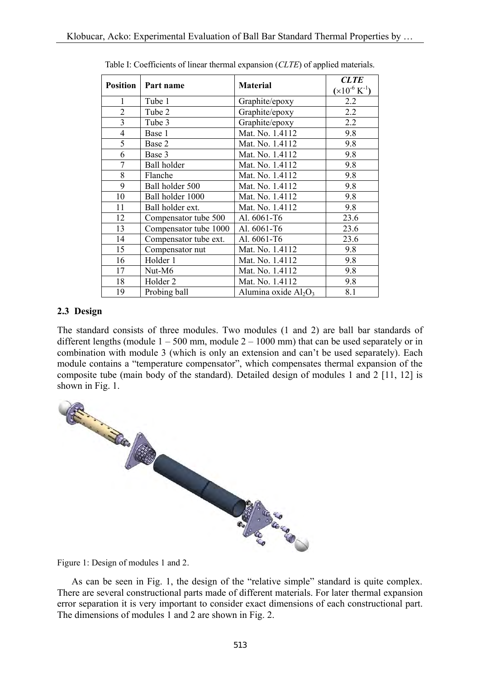| <b>Position</b> | Part name             | <b>Material</b>         | <b>CLTE</b>         |
|-----------------|-----------------------|-------------------------|---------------------|
|                 |                       |                         | $(x10^{-6} K^{-1})$ |
| 1               | Tube 1                | Graphite/epoxy          | 2.2                 |
| $\overline{2}$  | Tube 2                | Graphite/epoxy          | 2.2                 |
| 3               | Tube 3                | Graphite/epoxy          | 2.2                 |
| $\overline{4}$  | Base 1                | Mat. No. 1.4112         | 9.8                 |
| 5               | Base 2                | Mat. No. 1.4112         | 9.8                 |
| 6               | Base 3                | Mat. No. 1.4112         | 9.8                 |
| 7               | <b>Ball</b> holder    | Mat. No. 1.4112         | 9.8                 |
| 8               | Flanche               | Mat. No. 1.4112         | 9.8                 |
| 9               | Ball holder 500       | Mat. No. 1.4112         | 9.8                 |
| 10              | Ball holder 1000      | Mat. No. 1.4112         | 9.8                 |
| 11              | Ball holder ext.      | Mat. No. 1.4112         | 9.8                 |
| 12              | Compensator tube 500  | Al. 6061-T6             | 23.6                |
| 13              | Compensator tube 1000 | Al. 6061-T6             | 23.6                |
| 14              | Compensator tube ext. | Al. 6061-T6             | 23.6                |
| 15              | Compensator nut       | Mat. No. 1.4112         | 9.8                 |
| 16              | Holder 1              | Mat. No. 1.4112         | 9.8                 |
| 17              | Nut-M6                | Mat. No. 1.4112         | 9.8                 |
| 18              | Holder <sub>2</sub>   | Mat. No. 1.4112         | 9.8                 |
| 19              | Probing ball          | Alumina oxide $Al_2O_3$ | 8.1                 |

Table I: Coefficients of linear thermal expansion (*CLTE*) of applied materials.

#### **2.3 Design**

The standard consists of three modules. Two modules (1 and 2) are ball bar standards of different lengths (module  $1 - 500$  mm, module  $2 - 1000$  mm) that can be used separately or in combination with module 3 (which is only an extension and can't be used separately). Each module contains a "temperature compensator", which compensates thermal expansion of the composite tube (main body of the standard). Detailed design of modules 1 and 2 [11, 12] is



Figure 1: Design of modules 1 and 2.

 As can be seen in Fig. 1, the design of the "relative simple" standard is quite complex. There are several constructional parts made of different materials. For later thermal expansion error separation it is very important to consider exact dimensions of each constructional part. The dimensions of modules 1 and 2 are shown in Fig. 2.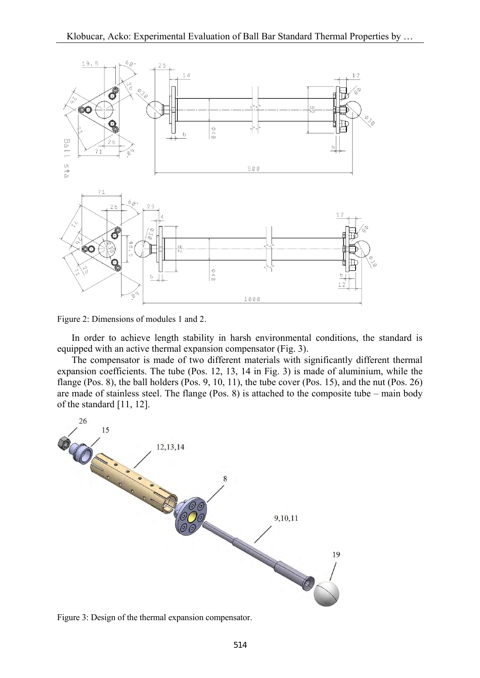

Figure 2: Dimensions of modules 1 and 2.

 In order to achieve length stability in harsh environmental conditions, the standard is equipped with an active thermal expansion compensator (Fig. 3).

 The compensator is made of two different materials with significantly different thermal expansion coefficients. The tube (Pos. 12, 13, 14 in Fig. 3) is made of aluminium, while the flange (Pos. 8), the ball holders (Pos. 9, 10, 11), the tube cover (Pos. 15), and the nut (Pos. 26) are made of stainless steel. The flange (Pos. 8) is attached to the composite tube – main body of the standard [11, 12].



Figure 3: Design of the thermal expansion compensator.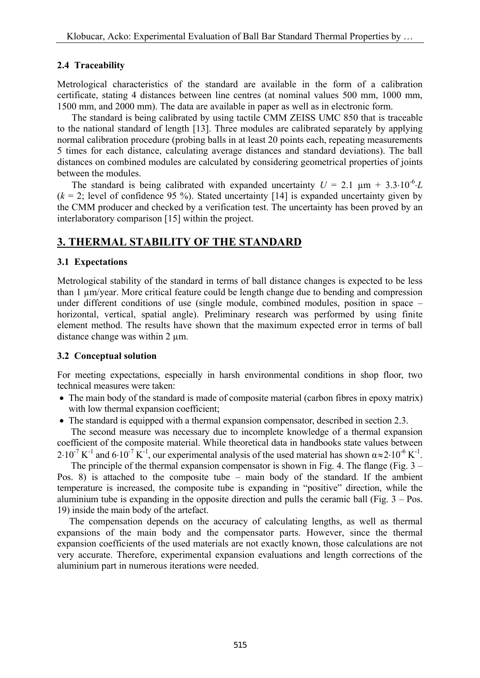## **2.4 Traceability**

Metrological characteristics of the standard are available in the form of a calibration certificate, stating 4 distances between line centres (at nominal values 500 mm, 1000 mm, 1500 mm, and 2000 mm). The data are available in paper as well as in electronic form.

 The standard is being calibrated by using tactile CMM ZEISS UMC 850 that is traceable to the national standard of length [13]. Three modules are calibrated separately by applying normal calibration procedure (probing balls in at least 20 points each, repeating measurements 5 times for each distance, calculating average distances and standard deviations). The ball distances on combined modules are calculated by considering geometrical properties of joints between the modules.

The standard is being calibrated with expanded uncertainty  $U = 2.1 \mu m + 3.3 \cdot 10^{-6}$  $(k = 2)$ ; level of confidence 95 %). Stated uncertainty [14] is expanded uncertainty given by the CMM producer and checked by a verification test. The uncertainty has been proved by an interlaboratory comparison [15] within the project.

# **3. THERMAL STABILITY OF THE STANDARD**

## **3.1 Expectations**

Metrological stability of the standard in terms of ball distance changes is expected to be less than 1 µm/year. More critical feature could be length change due to bending and compression under different conditions of use (single module, combined modules, position in space – horizontal, vertical, spatial angle). Preliminary research was performed by using finite element method. The results have shown that the maximum expected error in terms of ball distance change was within 2  $\mu$ m.

## **3.2 Conceptual solution**

For meeting expectations, especially in harsh environmental conditions in shop floor, two technical measures were taken:

- The main body of the standard is made of composite material (carbon fibres in epoxy matrix) with low thermal expansion coefficient;
- The standard is equipped with a thermal expansion compensator, described in section 2.3.

 The second measure was necessary due to incomplete knowledge of a thermal expansion coefficient of the composite material. While theoretical data in handbooks state values between  $2.10^{-7}$  K<sup>-1</sup> and  $6.10^{-7}$  K<sup>-1</sup>, our experimental analysis of the used material has shown  $\alpha \approx 2.10^{-6}$  K<sup>-1</sup>.

The principle of the thermal expansion compensator is shown in Fig. 4. The flange (Fig.  $3 -$ Pos. 8) is attached to the composite tube – main body of the standard. If the ambient temperature is increased, the composite tube is expanding in "positive" direction, while the aluminium tube is expanding in the opposite direction and pulls the ceramic ball (Fig.  $3 - Pos$ . 19) inside the main body of the artefact.

 The compensation depends on the accuracy of calculating lengths, as well as thermal expansions of the main body and the compensator parts. However, since the thermal expansion coefficients of the used materials are not exactly known, those calculations are not very accurate. Therefore, experimental expansion evaluations and length corrections of the aluminium part in numerous iterations were needed.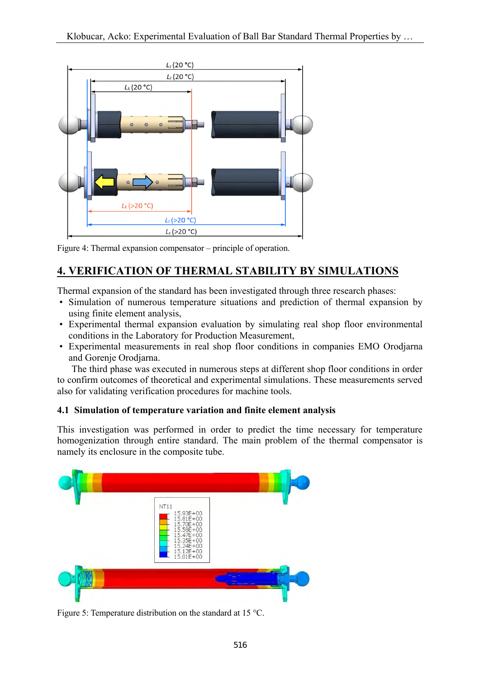

Figure 4: Thermal expansion compensator – principle of operation.

# **4. VERIFICATION OF THERMAL STABILITY BY SIMULATIONS**

Thermal expansion of the standard has been investigated through three research phases:

- Simulation of numerous temperature situations and prediction of thermal expansion by using finite element analysis,
- Experimental thermal expansion evaluation by simulating real shop floor environmental conditions in the Laboratory for Production Measurement,
- Experimental measurements in real shop floor conditions in companies EMO Orodjarna and Gorenje Orodjarna.

 The third phase was executed in numerous steps at different shop floor conditions in order to confirm outcomes of theoretical and experimental simulations. These measurements served also for validating verification procedures for machine tools.

## **4.1 Simulation of temperature variation and finite element analysis**

This investigation was performed in order to predict the time necessary for temperature homogenization through entire standard. The main problem of the thermal compensator is namely its enclosure in the composite tube.



Figure 5: Temperature distribution on the standard at 15 °C.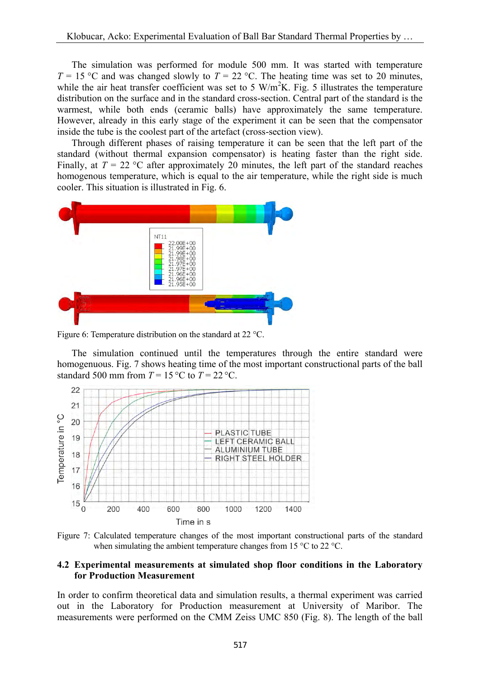The simulation was performed for module 500 mm. It was started with temperature  $T = 15$  °C and was changed slowly to  $T = 22$  °C. The heating time was set to 20 minutes, while the air heat transfer coefficient was set to 5 W/m<sup>2</sup>K. Fig. 5 illustrates the temperature distribution on the surface and in the standard cross-section. Central part of the standard is the warmest, while both ends (ceramic balls) have approximately the same temperature. However, already in this early stage of the experiment it can be seen that the compensator inside the tube is the coolest part of the artefact (cross-section view).

 Through different phases of raising temperature it can be seen that the left part of the standard (without thermal expansion compensator) is heating faster than the right side. Finally, at  $T = 22$  °C after approximately 20 minutes, the left part of the standard reaches homogenous temperature, which is equal to the air temperature, while the right side is much cooler. This situation is illustrated in Fig. 6.



Figure 6: Temperature distribution on the standard at 22 °C.

 The simulation continued until the temperatures through the entire standard were homogenuous. Fig. 7 shows heating time of the most important constructional parts of the ball standard 500 mm from  $T = 15 \degree C$  to  $T = 22 \degree C$ .



Figure 7: Calculated temperature changes of the most important constructional parts of the standard when simulating the ambient temperature changes from 15 °C to 22 °C.

### **4.2 Experimental measurements at simulated shop floor conditions in the Laboratory for Production Measurement**

In order to confirm theoretical data and simulation results, a thermal experiment was carried out in the Laboratory for Production measurement at University of Maribor. The measurements were performed on the CMM Zeiss UMC 850 (Fig. 8). The length of the ball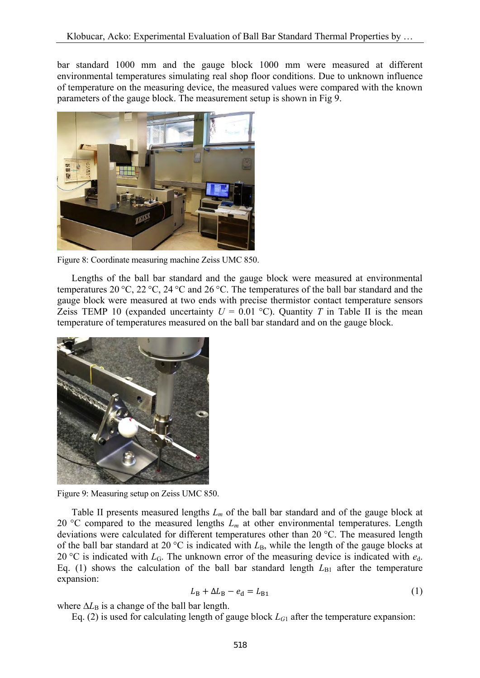bar standard 1000 mm and the gauge block 1000 mm were measured at different environmental temperatures simulating real shop floor conditions. Due to unknown influence of temperature on the measuring device, the measured values were compared with the known parameters of the gauge block. The measurement setup is shown in Fig 9.



Figure 8: Coordinate measuring machine Zeiss UMC 850.

 Lengths of the ball bar standard and the gauge block were measured at environmental temperatures 20 °C, 22 °C, 24 °C and 26 °C. The temperatures of the ball bar standard and the gauge block were measured at two ends with precise thermistor contact temperature sensors Zeiss TEMP 10 (expanded uncertainty  $U = 0.01 \degree C$ ). Quantity *T* in Table II is the mean temperature of temperatures measured on the ball bar standard and on the gauge block.



Figure 9: Measuring setup on Zeiss UMC 850.

 Table II presents measured lengths *Lm* of the ball bar standard and of the gauge block at 20 °C compared to the measured lengths  $L_m$  at other environmental temperatures. Length deviations were calculated for different temperatures other than 20 °C. The measured length of the ball bar standard at 20  $\degree$ C is indicated with  $L_{\rm B}$ , while the length of the gauge blocks at 20 °C is indicated with  $L_G$ . The unknown error of the measuring device is indicated with  $e_d$ . Eq. (1) shows the calculation of the ball bar standard length  $L_{B1}$  after the temperature expansion:

$$
L_{\rm B} + \Delta L_{\rm B} - e_{\rm d} = L_{\rm B1} \tag{1}
$$

where  $\Delta L_B$  is a change of the ball bar length.

Eq. (2) is used for calculating length of gauge block  $L_{G1}$  after the temperature expansion: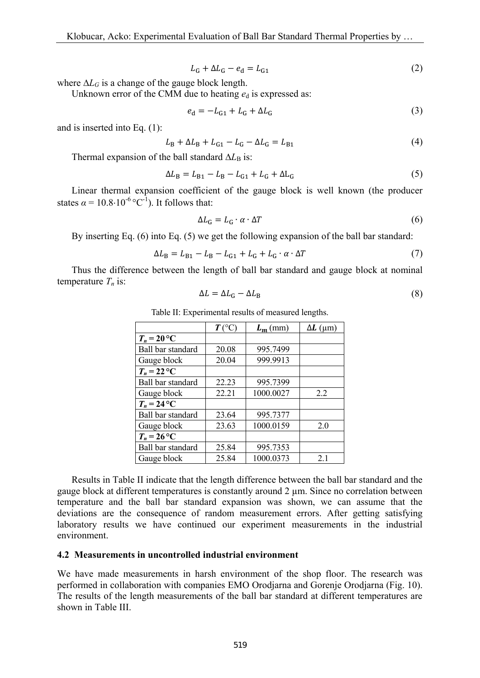$$
L_{\rm G} + \Delta L_{\rm G} - e_{\rm d} = L_{\rm G1} \tag{2}
$$

where  $\Delta L_G$  is a change of the gauge block length.

Unknown error of the CMM due to heating  $e_d$  is expressed as:

$$
e_{d} = -L_{G1} + L_{G} + \Delta L_{G}
$$
 (3)

and is inserted into Eq. (1):

$$
L_{\rm B} + \Delta L_{\rm B} + L_{\rm G1} - L_{\rm G} - \Delta L_{\rm G} = L_{\rm B1}
$$
 (4)

Thermal expansion of the ball standard  $\Delta L_B$  is:

$$
\Delta L_{\rm B} = L_{\rm B1} - L_{\rm B} - L_{\rm G1} + L_{\rm G} + \Delta L_{\rm G} \tag{5}
$$

 Linear thermal expansion coefficient of the gauge block is well known (the producer states  $\alpha = 10.8 \cdot 10^{-6} \,^{\circ}C^{-1}$ . It follows that:

$$
\Delta L_{\rm G} = L_{\rm G} \cdot \alpha \cdot \Delta T \tag{6}
$$

By inserting Eq. (6) into Eq. (5) we get the following expansion of the ball bar standard:

$$
\Delta L_{\rm B} = L_{\rm B1} - L_{\rm B} - L_{\rm G1} + L_{\rm G} + L_{\rm G} \cdot \alpha \cdot \Delta T \tag{7}
$$

 Thus the difference between the length of ball bar standard and gauge block at nominal temperature  $T_n$  is:

$$
\Delta L = \Delta L_{\rm G} - \Delta L_{\rm B} \tag{8}
$$

|                   | $T$ (°C | $L_m$ (mm) | $\Delta L$ (µm) |
|-------------------|---------|------------|-----------------|
| $T_n = 20$ °C     |         |            |                 |
| Ball bar standard | 20.08   | 995.7499   |                 |
| Gauge block       | 20.04   | 999.9913   |                 |
| $T_n = 22$ °C     |         |            |                 |
| Ball bar standard | 22.23   | 995.7399   |                 |
| Gauge block       | 22.21   | 1000.0027  | 2.2             |
| $T_n = 24$ °C     |         |            |                 |
| Ball bar standard | 23.64   | 995.7377   |                 |
| Gauge block       | 23.63   | 1000.0159  | 2.0             |
| $T_n = 26$ °C     |         |            |                 |
| Ball bar standard | 25.84   | 995.7353   |                 |
| Gauge block       | 25.84   | 1000.0373  | 2.1             |

Table II: Experimental results of measured lengths.

 Results in Table II indicate that the length difference between the ball bar standard and the gauge block at different temperatures is constantly around 2 µm. Since no correlation between temperature and the ball bar standard expansion was shown, we can assume that the deviations are the consequence of random measurement errors. After getting satisfying laboratory results we have continued our experiment measurements in the industrial environment.

#### **4.2 Measurements in uncontrolled industrial environment**

We have made measurements in harsh environment of the shop floor. The research was performed in collaboration with companies EMO Orodjarna and Gorenje Orodjarna (Fig. 10). The results of the length measurements of the ball bar standard at different temperatures are shown in Table III.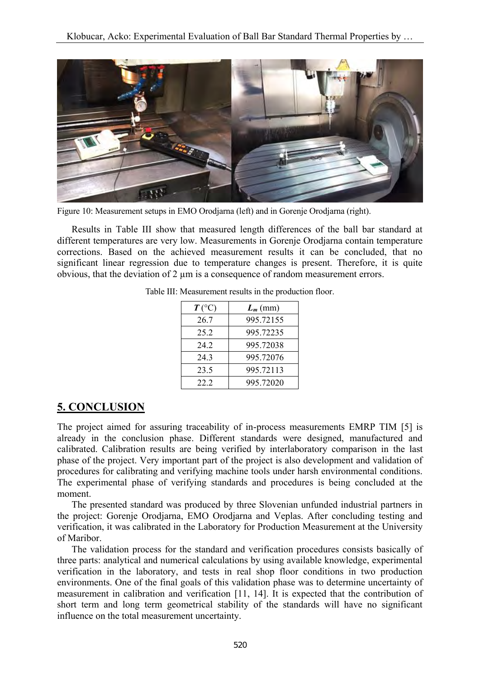

Figure 10: Measurement setups in EMO Orodjarna (left) and in Gorenje Orodjarna (right).

 Results in Table III show that measured length differences of the ball bar standard at different temperatures are very low. Measurements in Gorenje Orodjarna contain temperature corrections. Based on the achieved measurement results it can be concluded, that no significant linear regression due to temperature changes is present. Therefore, it is quite obvious, that the deviation of 2 µm is a consequence of random measurement errors.

| $T({}^{\circ}C)$ | $L_m$ (mm) |
|------------------|------------|
| 26.7             | 995.72155  |
| 25.2             | 995.72235  |
| 24 2             | 995.72038  |
| 24.3             | 995.72076  |
| 23.5             | 995.72113  |
| 22.2             | 995.72020  |

Table III: Measurement results in the production floor.

## **5. CONCLUSION**

The project aimed for assuring traceability of in-process measurements EMRP TIM [5] is already in the conclusion phase. Different standards were designed, manufactured and calibrated. Calibration results are being verified by interlaboratory comparison in the last phase of the project. Very important part of the project is also development and validation of procedures for calibrating and verifying machine tools under harsh environmental conditions. The experimental phase of verifying standards and procedures is being concluded at the moment.

 The presented standard was produced by three Slovenian unfunded industrial partners in the project: Gorenje Orodjarna, EMO Orodjarna and Veplas. After concluding testing and verification, it was calibrated in the Laboratory for Production Measurement at the University of Maribor.

 The validation process for the standard and verification procedures consists basically of three parts: analytical and numerical calculations by using available knowledge, experimental verification in the laboratory, and tests in real shop floor conditions in two production environments. One of the final goals of this validation phase was to determine uncertainty of measurement in calibration and verification [11, 14]. It is expected that the contribution of short term and long term geometrical stability of the standards will have no significant influence on the total measurement uncertainty.